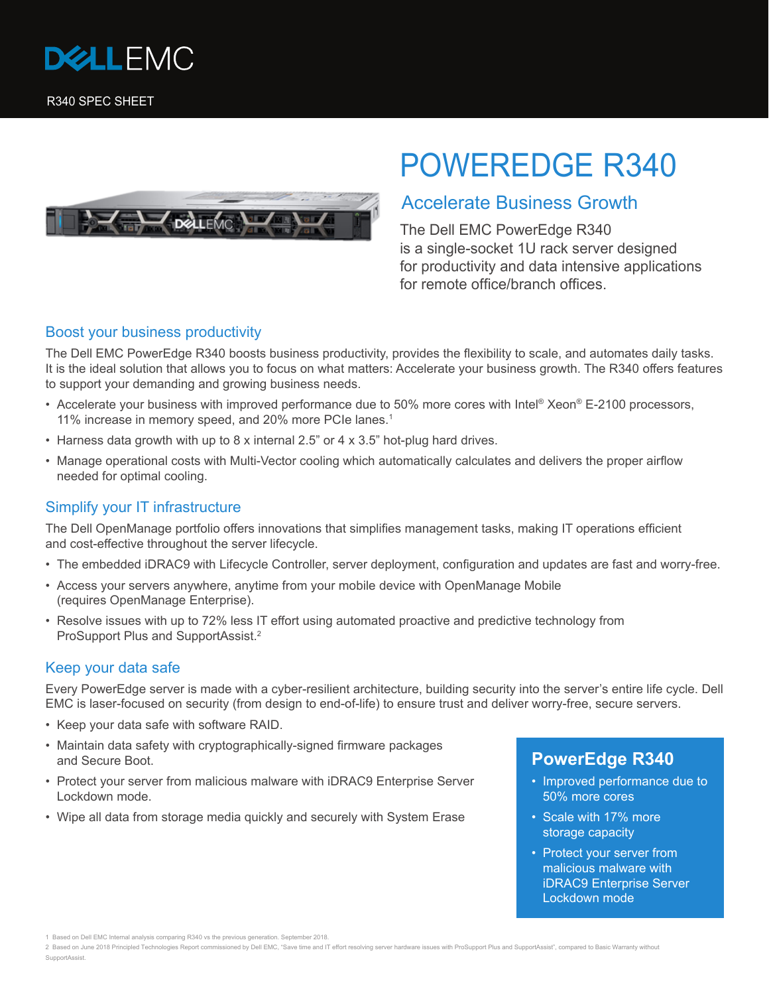



# POWEREDGE R340

## Accelerate Business Growth

The Dell EMC PowerEdge R340 is a single-socket 1U rack server designed for productivity and data intensive applications for remote office/branch offices.

#### Boost your business productivity

The Dell EMC PowerEdge R340 boosts business productivity, provides the flexibility to scale, and automates daily tasks. It is the ideal solution that allows you to focus on what matters: Accelerate your business growth. The R340 offers features to support your demanding and growing business needs.

- Accelerate your business with improved performance due to 50% more cores with Intel® Xeon® E-2100 processors, 11% increase in memory speed, and 20% more PCIe lanes.<sup>1</sup>
- Harness data growth with up to 8 x internal 2.5" or 4 x 3.5" hot-plug hard drives.
- Manage operational costs with Multi-Vector cooling which automatically calculates and delivers the proper airflow needed for optimal cooling.

#### Simplify your IT infrastructure

The Dell OpenManage portfolio offers innovations that simplifies management tasks, making IT operations efficient and cost-effective throughout the server lifecycle.

- The embedded iDRAC9 with Lifecycle Controller, server deployment, configuration and updates are fast and worry-free.
- Access your servers anywhere, anytime from your mobile device with OpenManage Mobile (requires OpenManage Enterprise).
- Resolve issues with up to 72% less IT effort using automated proactive and predictive technology from ProSupport Plus and SupportAssist.<sup>2</sup>

#### Keep your data safe

Every PowerEdge server is made with a cyber-resilient architecture, building security into the server's entire life cycle. Dell EMC is laser-focused on security (from design to end-of-life) to ensure trust and deliver worry-free, secure servers.

- Keep your data safe with software RAID.
- Maintain data safety with cryptographically-signed firmware packages and Secure Boot.
- Protect your server from malicious malware with iDRAC9 Enterprise Server Lockdown mode.
- Wipe all data from storage media quickly and securely with System Erase

### **PowerEdge R340**

- Improved performance due to 50% more cores
- Scale with 17% more storage capacity
- Protect your server from malicious malware with iDRAC9 Enterprise Server Lockdown mode

<sup>1</sup> Based on Dell EMC Internal analysis comparing R340 vs the previous generation. September 2018.

<sup>2</sup> Based on June 2018 Principled Technologies Report commissioned by Dell EMC, "Save time and IT effort resolving server hardware issues with ProSupport Plus and SupportAssist", compared to Basic Warranty without SupportAssist.